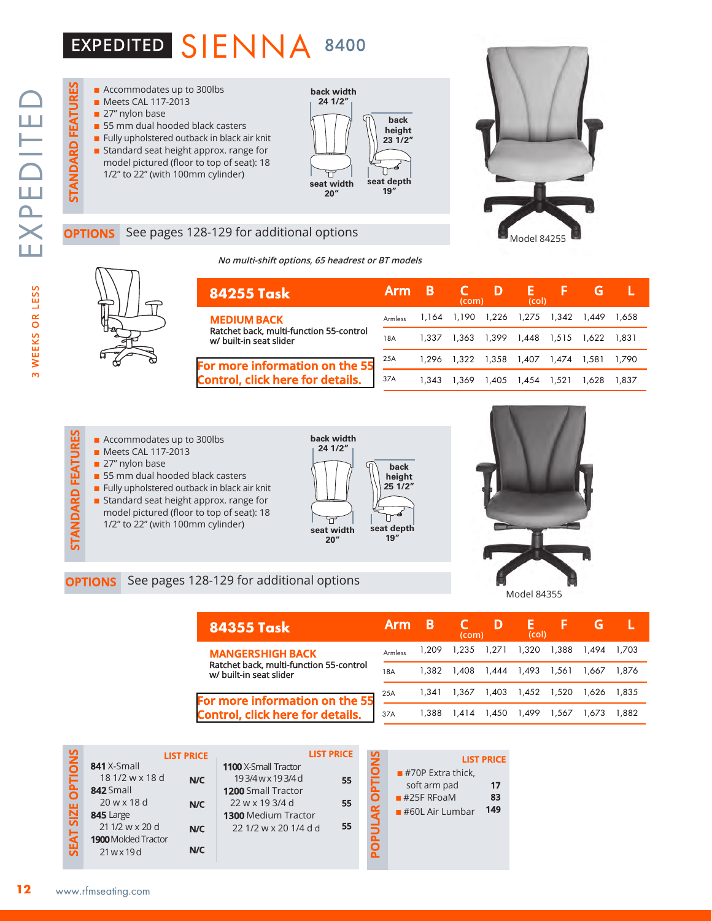# EXPEDITED SIENNA 8400

**STANDARD FEATURES**

STANDARD FEATURES



### See pages 128-129 for additional options

**No multi-shift options, 65 headrest or BT models**



| <b>84255 Task</b><br>Ratchet back, multi-function 55-control | <b>Arm</b>     | В     | (com) |                   | (col)       |             |       |       |
|--------------------------------------------------------------|----------------|-------|-------|-------------------|-------------|-------------|-------|-------|
| <b>MEDIUM BACK</b>                                           | <b>Armless</b> | 1.164 |       | 1.190 1.226 1.275 |             | 1.342 1.449 |       | 1.658 |
| w/ built-in seat slider                                      | 18A            | 1.337 | 1.363 |                   | 1.399 1.448 | 1.515 1.622 |       | 1.831 |
| For more information on the 55                               | 25A            | 1.296 | 1.322 | 1,358             | 1.407       | 1,474 1,581 |       | 1.790 |
| <b>Control, click here for details.</b>                      | 37A            | 1.343 | 1.369 | 1,405             | 1.454       | 1.521       | 1.628 | 1.837 |

### ■ Accommodates up to 300lbs

- **n** Meets CAL 117-2013
- $\blacksquare$  27" nylon base
- 55 mm dual hooded black casters
- $\blacksquare$  Fully upholstered outback in black air knit
- **EXECUTE ACCOMMODATES UP to 300lbs**<br> **COPTIONS** See pages 128-129 for additional options<br> **OPTIONS** See pages 128-129 for additional options **n** Standard seat height approx. range for model pictured (floor to top of seat): 18 1/2" to 22" (with 100mm cylinder)





Model 84255

Model 84355

| <b>84355 Task</b>                                                  | <b>Arm</b> | B     | (com) | D           | Е<br>(col)        |       |       |        |
|--------------------------------------------------------------------|------------|-------|-------|-------------|-------------------|-------|-------|--------|
| <b>MANGERSHIGH BACK</b>                                            | Armless    | 1.209 | 1,235 | 1,271 1,320 |                   | 1,388 | 1.494 | 1.703  |
| Ratchet back, multi-function 55-control<br>w/ built-in seat slider | 18A        | 1.382 | 1.408 |             | 1,444 1,493       | 1.561 | 1.667 | 1.876  |
| For more information on the 55                                     | 25A        | 1.341 | 1.367 |             | 1,403 1,452 1,520 |       | 1.626 | 1.835  |
| Control click here for details                                     | 37A        | 1.388 | l.414 | 1,450       | 1,499             | 1.567 | .673  | 882. ا |

# **Control, click here for d**

**LIST PRICE**

| on the 55    |     |                                                   |                   |                   |  |
|--------------|-----|---------------------------------------------------|-------------------|-------------------|--|
| letails.     | 37A |                                                   | 1,388 1,414 1,450 |                   |  |
|              |     |                                                   |                   |                   |  |
| <b>PRICE</b> |     | $\mathbf{u} = \mathbf{v} \mathbf{v} + \mathbf{v}$ |                   | <b>LIST PRICE</b> |  |

|                  |                            | <b>LIST PRICE</b> |                             | <b>LIST PRICE</b> |             |    |
|------------------|----------------------------|-------------------|-----------------------------|-------------------|-------------|----|
| <b>OPTIONS</b>   | 841 X-Small                |                   | <b>1100</b> X-Small Tractor |                   | <b>SNOI</b> |    |
|                  | 18 1/2 w x 18 d            | N/C               | 193/4wx193/4d               | 55                |             | п  |
|                  | 842 Small                  |                   | 1200 Small Tractor          |                   | <b>FE</b>   |    |
|                  | 20 w x 18 d                | N/C               | 22 w x 19 3/4 d             | 55                |             | ∎≢ |
| <b>SEAT SIZE</b> | 845 Large                  |                   | <b>1300 Medium Tractor</b>  |                   | POPULAR     | ■∄ |
|                  | 21 1/2 w x 20 d            | N/C               | 22 1/2 w x 20 1/4 d d       | 55                |             |    |
|                  | <b>1900</b> Molded Tractor |                   |                             |                   |             |    |
|                  | 21wx19d                    | N/C               |                             |                   |             |    |
|                  |                            |                   |                             |                   |             |    |

|                                  | <b>LIST PRICE</b> |
|----------------------------------|-------------------|
| $\blacksquare$ #70P Extra thick, |                   |
| soft arm pad                     | 17                |
| $#25F$ RFoaM                     | 83                |
| $#60L$ Air Lumbar                | 149               |
|                                  |                   |
|                                  |                   |
|                                  |                   |

 $\overline{u}$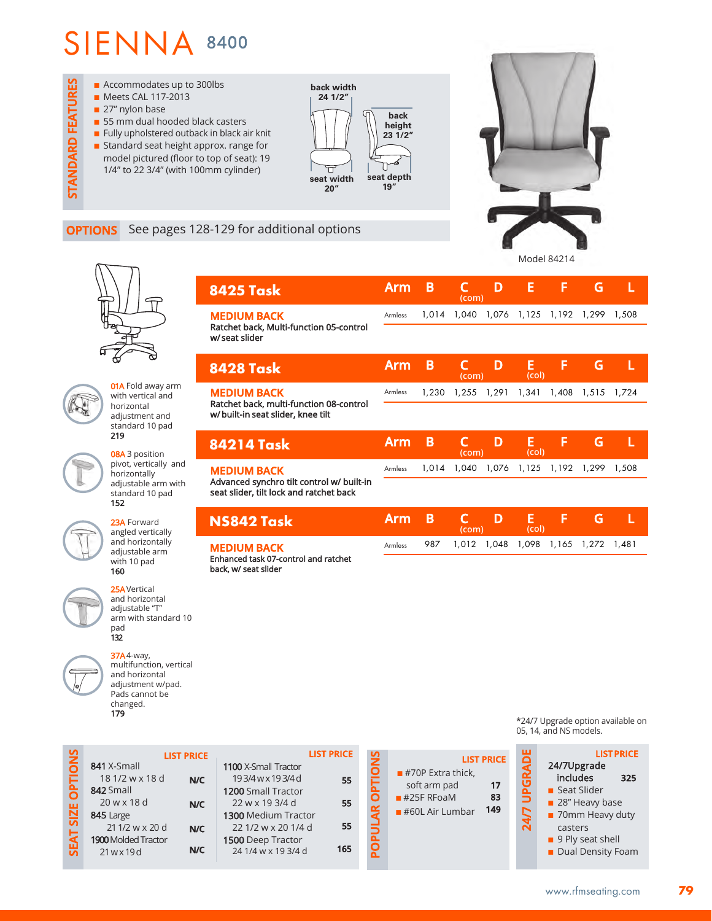

# Model 84214

**Arm B C D E F G L** 

**(com)**

### **OPTIONS** See pages 128-129 for additional options

**8425 Task**



**STANDARD FEATURES**

**STANDARD FEATURES** 

**01A** Fold away arm with vertical and horizontal adjustment and standard 10 pad 219

08A 3 position pivot, vertically and horizontally adjustable arm with standard 10 pad 152

23A Forward angled vertically and horizontally adjustable arm with 10 pad 160

25AVertical and horizontal adjustable "T" arm with standard 10 pad 132

37A4-way, multifunction, vertical and horizontal adjustment w/pad. Pads cannot be changed.

179

| <b>MEDIUM BACK</b><br>Ratchet back, Multi-function 05-control                        | <b>Armless</b> |       |       | 1,014 1,040 1,076 1,125 1,192 |            |       | 1,299 1,508 |       |
|--------------------------------------------------------------------------------------|----------------|-------|-------|-------------------------------|------------|-------|-------------|-------|
| w/seat slider                                                                        |                |       |       |                               |            |       |             |       |
| <b>8428 Task</b>                                                                     | Arm            | B     | (com) | D                             | E<br>(col) | F     | G           | L     |
| <b>MEDIUM BACK</b><br>Ratchet back, multi-function 08-control                        | Armless        | 1.230 | 1,255 | 1,291                         | 1,341      |       | 1,408 1,515 | 1.724 |
| w/built-in seat slider, knee tilt                                                    |                |       |       |                               |            |       |             |       |
|                                                                                      |                |       |       |                               |            |       |             |       |
| <b>84214 Task</b>                                                                    | <b>Arm</b>     | B     | (com) | D                             | E<br>(col) | F     | G           | L     |
| <b>MEDIUM BACK</b>                                                                   | Armless        | 1.014 | 1.040 | 1,076                         | 1,125      | 1,192 | 1,299       | 1,508 |
| Advanced synchro tilt control w/ built-in<br>seat slider, tilt lock and ratchet back |                |       |       |                               |            |       |             |       |
| NS842 Task                                                                           | <b>Arm</b>     | B     | (com) | D                             | E<br>(col) | F     | G           | L     |

Enhanced task 07-control and ratchet back, w/ seat slider **MEDIUM BACK** 

| <b>IONS</b><br><b>LIST PRICE</b><br>841 X-Small<br>1100 X-Small Tractor<br>18 1/2 w x 18 d<br>193/4wx193/4d<br>SEAT SIZE OPT<br>N/C<br>842 Small<br>1200 Small Tractor<br>$20$ w x 18 d<br>22 w x 19 3/4 d<br>N/C<br>845 Large<br>1300 Medium Tractor<br>21 1/2 w x 20 d<br>22 1/2 w x 20 1/4 d<br>N/C<br><b>1900 Molded Tractor</b><br>1500 Deep Tractor<br>N/C<br>24 1/4 w x 19 3/4 d<br>21 w x 19 d | <b>LIST PRICE</b><br>55<br>55<br>55<br>165 | <b>ONS</b><br>ō<br>≃<br>Δ.<br><u>ଚ</u> | <b>LIST</b><br>$\blacksquare$ #70P Extra thick,<br>soft arm pad<br>$#25F$ RFoaM<br>$#60L$ Air Lumbar |
|--------------------------------------------------------------------------------------------------------------------------------------------------------------------------------------------------------------------------------------------------------------------------------------------------------------------------------------------------------------------------------------------------------|--------------------------------------------|----------------------------------------|------------------------------------------------------------------------------------------------------|
|--------------------------------------------------------------------------------------------------------------------------------------------------------------------------------------------------------------------------------------------------------------------------------------------------------------------------------------------------------------------------------------------------------|--------------------------------------------|----------------------------------------|------------------------------------------------------------------------------------------------------|

\*24/7 Upgrade option available on 05, 14, and NS models.



**PRICE** 

soft arm pad **17** n #25F RFoaM **83** 149

**79**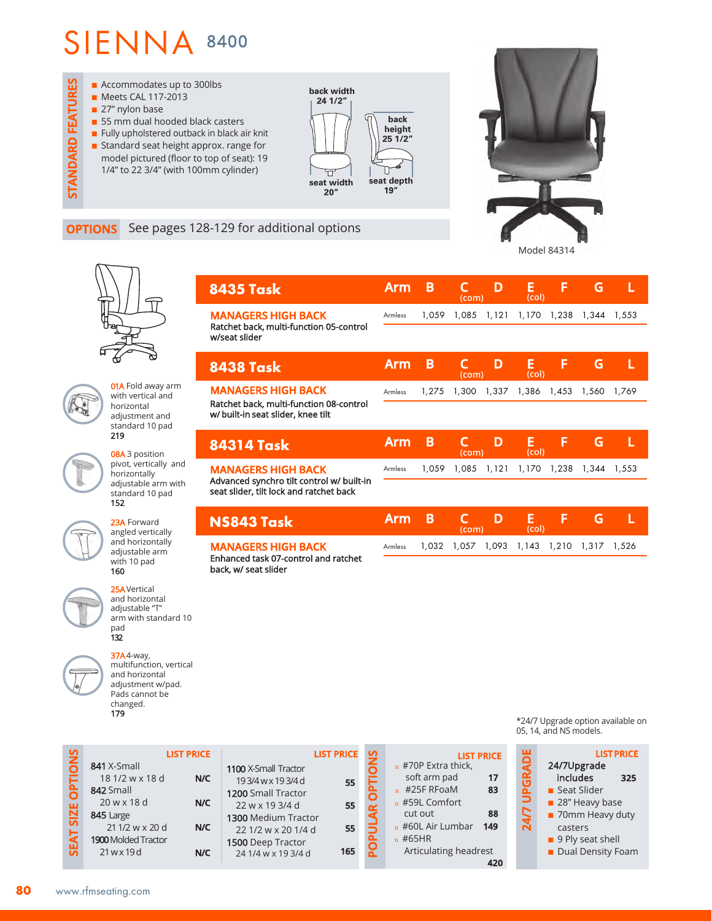

### **OPTIONS** See pages 128-129 for additional options

**8435 Task**



**Arm B C D E F G L** 

**(com) (col)**

1,032 1,057 1,093 1,143 1,210 1,317 1,526

**01A** Fold away arm with vertical and horizontal adjustment and standard 10 pad 219

> 08A 3 position pivot, vertically and horizontally adjustable arm with standard 10 pad 152

23A Forward angled vertically and horizontally adjustable arm with 10 pad 160

> 25AVertical and horizontal adjustable "T" arm with standard 10 pad 132

37A4-way, multifunction, vertical and horizontal adjustment w/pad. Pads cannot be changed. 179

|                                                                                      |         |       | (com) |       | (col)      |             |                   |       |
|--------------------------------------------------------------------------------------|---------|-------|-------|-------|------------|-------------|-------------------|-------|
| <b>MANAGERS HIGH BACK</b>                                                            | Armless | 1.059 | 1.085 | 1,121 |            |             | 1,170 1,238 1,344 | 1,553 |
| Ratchet back, multi-function 05-control<br>w/seat slider                             |         |       |       |       |            |             |                   |       |
| <b>8438 Task</b>                                                                     | Arm     | В     | (com) | D     | Е<br>(col) | F           | G                 |       |
| <b>MANAGERS HIGH BACK</b>                                                            | Armless | 1.275 | 1,300 | 1,337 | 1,386      | 1,453       | 1,560             | 1.769 |
| Ratchet back, multi-function 08-control<br>w/ built-in seat slider, knee tilt        |         |       |       |       |            |             |                   |       |
| <b>84314 Task</b>                                                                    | Arm     | B     | (com) | D     | E<br>(col) | F           | G                 |       |
| <b>MANAGERS HIGH BACK</b>                                                            | Armless | 1.059 | 1.085 | 1,121 |            | 1.170 1.238 | 1.344             | 1,553 |
| Advanced synchro tilt control w/ built-in<br>seat slider, tilt lock and ratchet back |         |       |       |       |            |             |                   |       |
| NS843 Task                                                                           | Arm     | B     |       | D     | E          | F           | G                 |       |

Armless

**MANAGERS HIGH BACK**  Enhanced task 07-control and ratchet back, w/ seat slider

|                                    |                                                                                                                                    | <b>LIST PRICE</b>        |                                                                                                                                                                          | <b>LIST PRICE</b>     | S                             | <b>LIST PRICE</b>                                                                                                                                                            |  |
|------------------------------------|------------------------------------------------------------------------------------------------------------------------------------|--------------------------|--------------------------------------------------------------------------------------------------------------------------------------------------------------------------|-----------------------|-------------------------------|------------------------------------------------------------------------------------------------------------------------------------------------------------------------------|--|
| <b>IONS</b><br>SIZE OPTI<br>SEAT ! | 841 X-Small<br>18 1/2 w x 18 d<br>842 Small<br>$20$ w x 18 d<br>845 Large<br>21 1/2 w x 20 d<br>1900 Molded Tractor<br>21 w x 19 d | N/C<br>N/C<br>N/C<br>N/C | 1100 X-Small Tractor<br>193/4wx193/4d<br>1200 Small Tractor<br>22 w x 19 3/4 d<br>1300 Medium Tractor<br>22 1/2 w x 20 1/4 d<br>1500 Deep Tractor<br>24 1/4 w x 19 3/4 d | 55<br>55<br>55<br>165 | ŠΘ<br>Σ<br>$\alpha$<br>Ω<br>ñ | $n$ #70P Extra thick,<br>soft arm pad<br>17<br>$n$ #25F RFoaM<br>83<br>$n$ #59L Comfort<br>88<br>cut out<br>$n$ #60L Air Lumbar<br>149<br>$n$ #65HR<br>Articulating headrest |  |

\*24/7 Upgrade option available on 05, 14, and NS models.

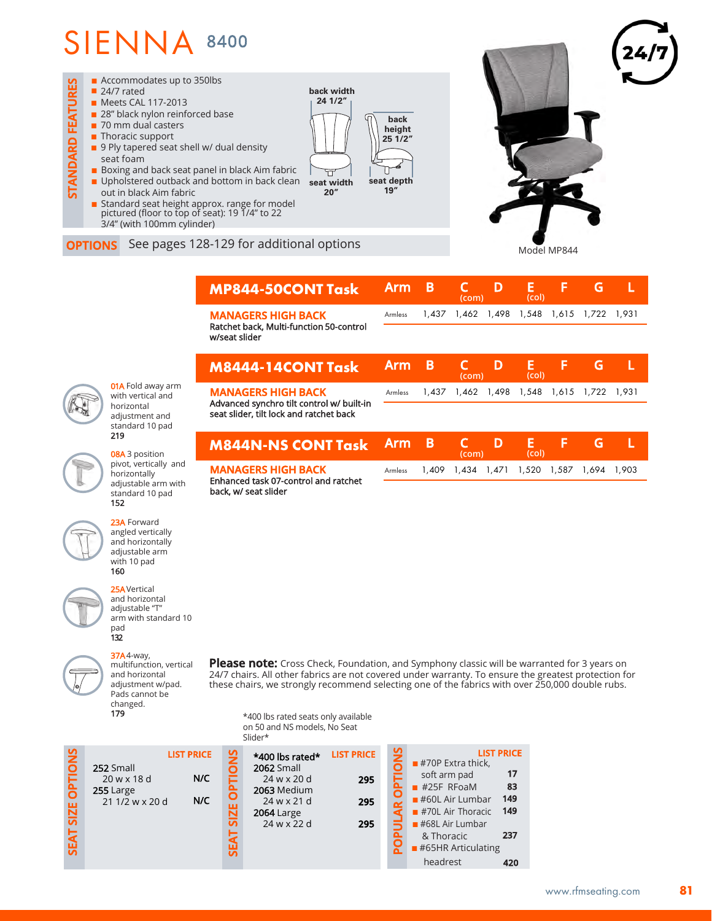

**OPTIONS** See pages 128-129 for additional options

|                                                              | <b>MP844-50CONT Task</b>                                               | Arm        | B     | (com)       | D | Е<br>(col)        | F           | G                 |       |  |
|--------------------------------------------------------------|------------------------------------------------------------------------|------------|-------|-------------|---|-------------------|-------------|-------------------|-------|--|
|                                                              | <b>MANAGERS HIGH BACK</b><br>Ratchet back, Multi-function 50-control   | Armless    | 1,437 | 1,462 1,498 |   | 1,548             | 1,615       | 1,722             | 1.931 |  |
|                                                              | w/seat slider                                                          |            |       |             |   |                   |             |                   |       |  |
|                                                              | <b>M8444-14CONT Task</b>                                               | <b>Arm</b> | B     | C<br>(com)  | D | Е<br>(col)        | F           | G                 |       |  |
| <b>01A</b> Fold away arm<br>with vertical and<br>horizontal  | <b>MANAGERS HIGH BACK</b><br>Advanced synchro tilt control w/ built-in | Armless    | 1,437 |             |   | 1,462 1,498 1,548 |             | 1,615 1,722 1,931 |       |  |
| adjustment and<br>standard 10 pad                            | seat slider, tilt lock and ratchet back                                |            |       |             |   |                   |             |                   |       |  |
| 219<br>08A 3 position                                        | <b>M844N-NS CONT Task</b>                                              | <b>Arm</b> | B     | (com)       | D | Е<br>(col)        | F           | G                 |       |  |
| pivot, vertically and<br>horizontally<br>adjustable arm with | <b>MANAGERS HIGH BACK</b><br>Enhanced task 07-control and ratchet      | Armless    | 1.409 | 1,434 1,471 |   |                   | 1,520 1,587 | 1.694 1.903       |       |  |
| standard 10 pad<br>152                                       | back, w/ seat slider                                                   |            |       |             |   |                   |             |                   |       |  |
|                                                              |                                                                        |            |       |             |   |                   |             |                   |       |  |

Model MP844

23A Forward angled vertically and horizontally adjustable arm with 10 pad 160

25AVertical and horizontal adjustable "T" arm with standard 10 pad 132

multifunction, vertical and horizontal adjustment w/pad. Pads cannot be changed. 179

37A4-way,

Please note: Cross Check, Foundation, and Symphony classic will be warranted for 3 years on 24/7 chairs. All other fabrics are not covered under warranty. To ensure the greatest protection for these chairs, we strongly recommend selecting one of the fabrics with over 250,000 double rubs.

\*400 lbs rated seats only available on 50 and NS models, No Seat

| $\frac{5}{2}$<br>SNO<br><b>LIST PRICE</b><br>$\frac{9}{2}$<br><b>LIST PRICE</b><br><b>LIST PRICE</b><br>*400 lbs rated*<br>$#70P$ Extra thick,<br><b>2062 Small</b><br>252 Small<br>17<br>soft arm pad<br>N/C<br>20 w x 18 d<br>24 w x 20 d<br>295<br><b>TdO</b><br>$#25F$ RFoaM<br>83<br>2063 Medium<br>255 Large<br>149<br>$#60L$ Air Lumbar<br>N/C<br>21 1/2 w x 20 d<br>$24$ w x 21 d<br>295<br><b>SIZE</b><br>149<br>$#70L$ Air Thoracic<br><b>2064 Large</b><br>ភ<br>24 w x 22 d<br>$#68L$ Air Lumbar<br>295<br><b>SEAT</b><br>237<br>& Thoracic<br>မ္ဟ<br>$\blacksquare$ #65HR Articulating<br>headrest<br>420 |  |  | Slider* |  |  |
|-----------------------------------------------------------------------------------------------------------------------------------------------------------------------------------------------------------------------------------------------------------------------------------------------------------------------------------------------------------------------------------------------------------------------------------------------------------------------------------------------------------------------------------------------------------------------------------------------------------------------|--|--|---------|--|--|
|                                                                                                                                                                                                                                                                                                                                                                                                                                                                                                                                                                                                                       |  |  |         |  |  |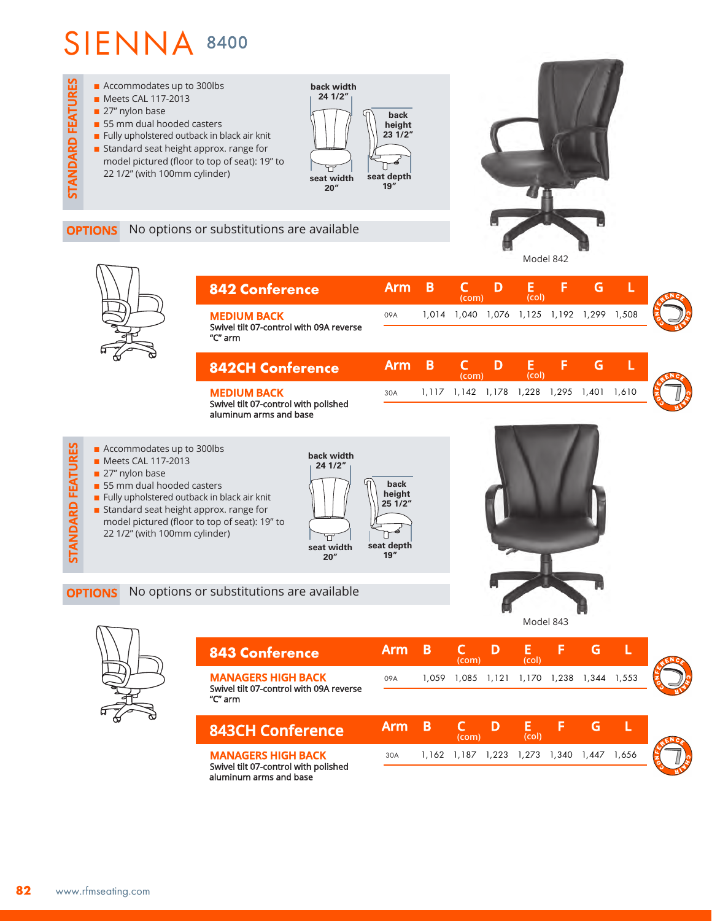

**OPTIONS** No options or substitutions are available







| <b>843 Conference</b>                                                           | Arm        | в     | (com)       |             | (col)       |       |       |       |  |
|---------------------------------------------------------------------------------|------------|-------|-------------|-------------|-------------|-------|-------|-------|--|
| <b>MANAGERS HIGH BACK</b><br>Swivel tilt 07-control with 09A reverse<br>"C" arm | 09A        | 1.059 |             | 1,085 1,121 | 1,170 1,238 |       | 1.344 | 1.553 |  |
| <b>843CH Conference</b>                                                         | <b>Arm</b> | B     | (com)       |             | (col)       |       |       |       |  |
| <b>MANAGERS HIGH BACK</b><br>Swivel tilt 07-control with polished               | 30A        |       | 1.162 1.187 | 1,223       | 1,273       | 1,340 | 1.447 | 1.656 |  |

III U7-control with polished aluminum arms and base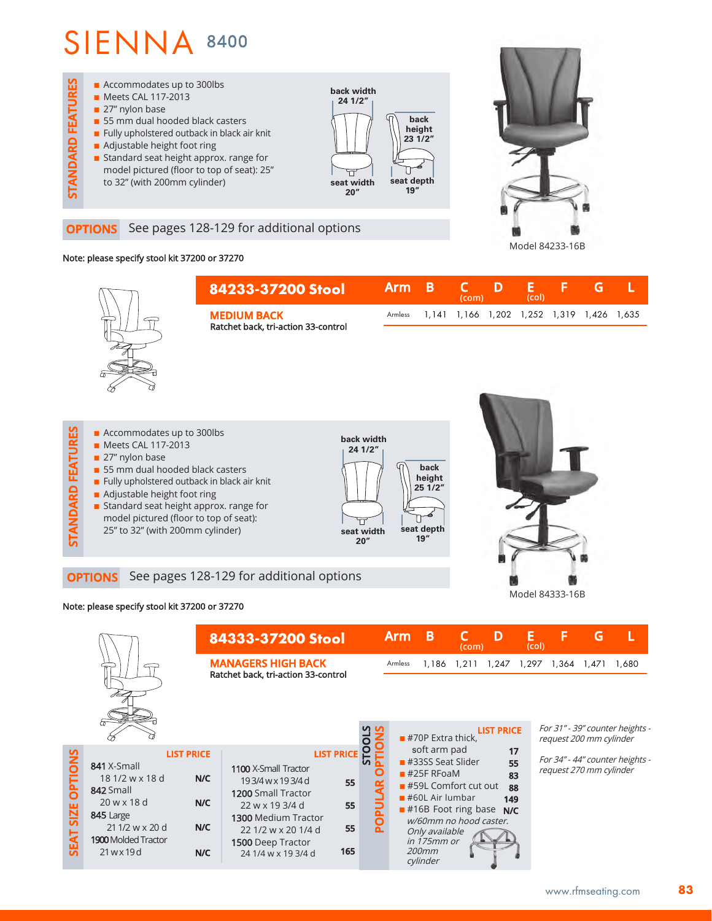

### **OPTIONS** See pages 128-129 for additional options

## Note: please specify stool kit 37200 or 37270



**n** Standard seat height approx. range for model pictured (floor to top of seat): 25" to 32" (with 200mm cylinder)



**OPTIONS** See pages 128-129 for additional options

### Note: please specify stool kit 37200 or 37270

**STANDARD FEATURES**

STANDARD FEATURES

|                                       |                                                                                                                                                                        | 84333-37200 Stool                                                |                                                                                                                                                                                            |                                            | <b>Arm</b>                                                         | B                                                                                                                                                                                                                                        | (com) | D                                  | Е<br>(Co) | F                                                                                                 | G                       |                                 |
|---------------------------------------|------------------------------------------------------------------------------------------------------------------------------------------------------------------------|------------------------------------------------------------------|--------------------------------------------------------------------------------------------------------------------------------------------------------------------------------------------|--------------------------------------------|--------------------------------------------------------------------|------------------------------------------------------------------------------------------------------------------------------------------------------------------------------------------------------------------------------------------|-------|------------------------------------|-----------|---------------------------------------------------------------------------------------------------|-------------------------|---------------------------------|
|                                       |                                                                                                                                                                        | <b>MANAGERS HIGH BACK</b><br>Ratchet back, tri-action 33-control |                                                                                                                                                                                            |                                            | Armless<br>1,186 1,211<br><b>LIST PRICE</b><br>$#70P$ Extra thick. |                                                                                                                                                                                                                                          |       |                                    |           | 1,247 1,297 1,364<br>1,680<br>1,471<br>For 31" - 39" counter heights -<br>request 200 mm cylinder |                         |                                 |
| <b>OPTIONS</b><br>SIZE<br><b>SEAT</b> | <b>LIST PRICE</b><br>841 X-Small<br>18 1/2 w x 18 d<br>842 Small<br>$20$ w x 18 d<br>845 Large<br>21 1/2 w x 20 d<br><b>1900</b> Molded Tractor<br>$21$ w $\times$ 19d | N/C<br>N/C<br>N/C<br>N/C                                         | 1100 X-Small Tractor<br>193/4 w x 193/4 d<br>1200 Small Tractor<br>22 w x 19 3/4 d<br><b>1300 Medium Tractor</b><br>22 1/2 w x 20 1/4 d<br><b>1500</b> Deep Tractor<br>24 1/4 w x 19 3/4 d | <b>LIST PRICE</b><br>55<br>55<br>55<br>165 |                                                                    | soft arm pad<br>$#33SS$ Seat Slider<br>$\blacksquare$ #25F RFoaM<br>$\blacksquare$ #59L Comfort cut out<br>$#60L$ Air lumbar<br>$#16B$ Foot ring base<br>w/60mm no hood caster.<br>Only available<br>in 175mm or<br>$200$ mm<br>cylinder |       | 17<br>55<br>83<br>88<br>149<br>N/C |           |                                                                                                   | request 270 mm cylinder | For 34" - 44" counter heights - |

Model 84333-16B

Model 84233-16B